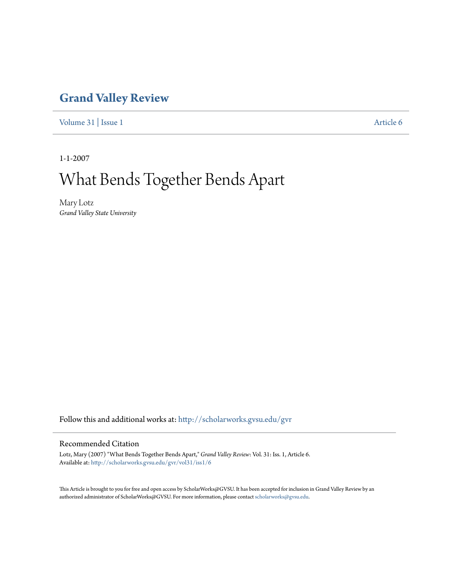## **[Grand Valley Review](http://scholarworks.gvsu.edu/gvr?utm_source=scholarworks.gvsu.edu%2Fgvr%2Fvol31%2Fiss1%2F6&utm_medium=PDF&utm_campaign=PDFCoverPages)**

[Volume 31](http://scholarworks.gvsu.edu/gvr/vol31?utm_source=scholarworks.gvsu.edu%2Fgvr%2Fvol31%2Fiss1%2F6&utm_medium=PDF&utm_campaign=PDFCoverPages) | [Issue 1](http://scholarworks.gvsu.edu/gvr/vol31/iss1?utm_source=scholarworks.gvsu.edu%2Fgvr%2Fvol31%2Fiss1%2F6&utm_medium=PDF&utm_campaign=PDFCoverPages) [Article 6](http://scholarworks.gvsu.edu/gvr/vol31/iss1/6?utm_source=scholarworks.gvsu.edu%2Fgvr%2Fvol31%2Fiss1%2F6&utm_medium=PDF&utm_campaign=PDFCoverPages)

1-1-2007

## What Bends Together Bends Apart

Mary Lotz *Grand Valley State University*

Follow this and additional works at: [http://scholarworks.gvsu.edu/gvr](http://scholarworks.gvsu.edu/gvr?utm_source=scholarworks.gvsu.edu%2Fgvr%2Fvol31%2Fiss1%2F6&utm_medium=PDF&utm_campaign=PDFCoverPages)

## Recommended Citation

Lotz, Mary (2007) "What Bends Together Bends Apart," *Grand Valley Review*: Vol. 31: Iss. 1, Article 6. Available at: [http://scholarworks.gvsu.edu/gvr/vol31/iss1/6](http://scholarworks.gvsu.edu/gvr/vol31/iss1/6?utm_source=scholarworks.gvsu.edu%2Fgvr%2Fvol31%2Fiss1%2F6&utm_medium=PDF&utm_campaign=PDFCoverPages)

This Article is brought to you for free and open access by ScholarWorks@GVSU. It has been accepted for inclusion in Grand Valley Review by an authorized administrator of ScholarWorks@GVSU. For more information, please contact [scholarworks@gvsu.edu.](mailto:scholarworks@gvsu.edu)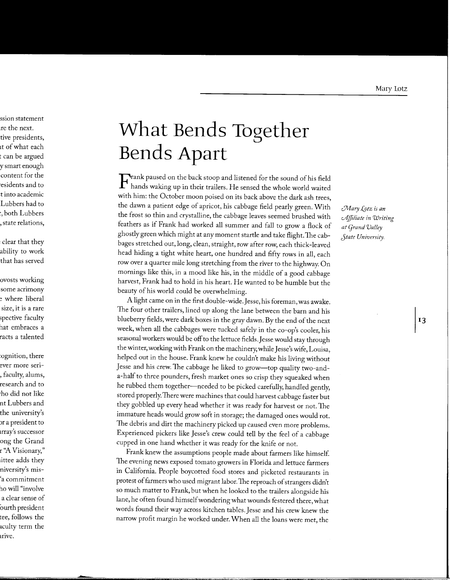## **What Bends Together Bends Apart**

 $\Gamma$  rank paused on the back stoop and listened for the sound of his field hands waking up in their trailers. He sensed the whole world waited with him: the October moon poised on its back above the dark ash trees, the dawn a patient edge of apricot, his cabbage field pearly green. With the frost so thin and crystalline, the cabbage leaves seemed brushed with feathers as if Frank had worked all summer and fall to grow a flock of ghostly green which might at any moment startle and take flight. The cabbages stretched out, long, clean, straight, row after row, each thick-leaved head hiding a tight white heart, one hundred and fifty rows in all, each row over a quarter mile long stretching from the river to the highway. On mornings like this, in a mood like his, in the middle of a good cabbage harvest, Frank had to hold in his heart. He wanted to be humble but the beauty of his world could be overwhelming.

A light came on in the first double-wide. Jesse, his foreman, was awake. The four other trailers, lined up along the lane between the barn and his blueberry fields, were dark boxes in the gray dawn. By the end of the next week, when all the cabbages were tucked safely in the co-op's cooler, his seasonal workers would be off to the lettuce fields. Jesse would stay through the winter, working with Frank on the machinery, while Jesse's wife, Louisa, helped out in the house. Frank knew he couldn't make his living without Jesse and his crew. The cabbage he liked to grow-top quality two-anda-half to three pounders, fresh market ones so crisp they squeaked when he rubbed them together-needed to be picked carefully, handled gently, stored properly. There were machines that could harvest cabbage faster but they gobbled up every head whether it was ready for harvest or not. The immature heads would grow soft in storage; the damaged ones would rot. The debris and dirt the machinery picked up caused even more problems. Experienced pickers like Jesse's crew could tell by the feel of a cabbage cupped in one hand whether it was ready for the knife or not.

Frank knew the assumptions people made about farmers like himself. The evening news exposed tomato growers in Florida and lettuce farmers in California. People boycotted food stores and picketed restaurants in protest of farmers who used migrant labor. The reproach of strangers didn't so much matter to Frank, but when he looked to the trailers alongside his lane, he often found himself wondering what wounds festered there, what words found their way across kitchen tables. Jesse and his crew knew the narrow profit margin he worked under. When all the loans were met, the

*UV!ary \_(gtz is an cA'jjiliate in Writing at (jrand Valley Jtate University.*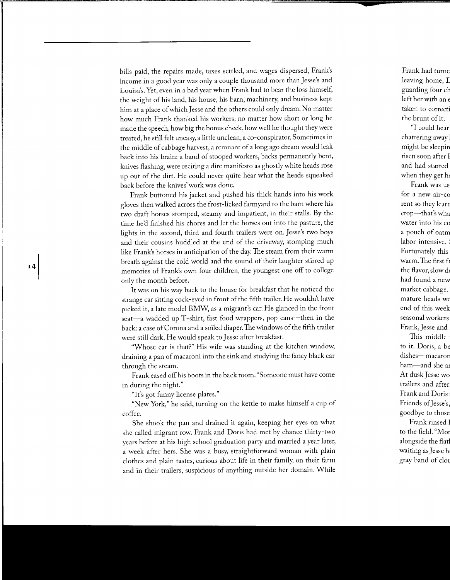bills paid, the repairs made, taxes settled, and wages dispersed, Frank's income in a good year was only a couple thousand more than Jesse's and Louisa's. Yet, even in a bad year when Frank had to bear the loss himself, the weight of his land, his house, his barn, machinery, and business kept him at a place of which Jesse and the others could only dream. No matter how much Frank thanked his workers, no matter how short or long he made the speech, how big the bonus check, how well he thought they were treated, he still felt uneasy, a little unclean, a co-conspirator. Sometimes in the middle of cabbage harvest, a remnant of a long ago dream would leak back into his brain: a band of stooped workers, backs permanently bent, knives flashing, were reciting a dire manifesto as ghostly white heads rose up out of the dirt. He could never quite hear what the heads squeaked back before the knives' work was done.

Frank buttoned his jacket and pushed his thick hands into his work gloves then walked across the frost-licked farmyard to the barn where his two draft horses stomped, steamy and impatient, in their stalls. By the time he'd finished his chores and let the horses out into the pasture, the lights in the second, third and fourth trailers were on. Jesse's two boys and their cousins huddled at the end of the driveway, stomping much like Frank's horses in anticipation of the day. The steam from their warm breath against the cold world and the sound of their laughter stirred up memories of Frank's own four children, the youngest one off to college only the month before.

It was on his way back to the house for breakfast that he noticed the strange car sitting cock-eyed in front of the fifth trailer. He wouldn't have picked it, a late model BMW, as a migrant's car. He glanced in the front seat-a wadded up T-shirt, fast food wrappers, pop cans-then in the back: a case of Corona and a soiled diaper. The windows of the fifth trailer were still dark. He would speak to Jesse after breakfast.

"Whose car is that?" His wife was standing at the kitchen window, draining a pan of macaroni into the sink and studying the fancy black car through the steam.

Frank eased off his boots in the back room. "Someone must have come in during the night."

"It's got funny license plates."

"New York," he said, turning on the kettle to make himself a cup of coffee.

She shook the pan and drained it again, keeping her eyes on what she called migrant row. Frank and Doris had met by chance thirty-two years before at his high school graduation party and married a year later, a week after hers. She was a busy, straightforward woman with plain clothes and plain tastes, curious about life in their family, on their farm and in their trailers, suspicious of anything outside her domain. While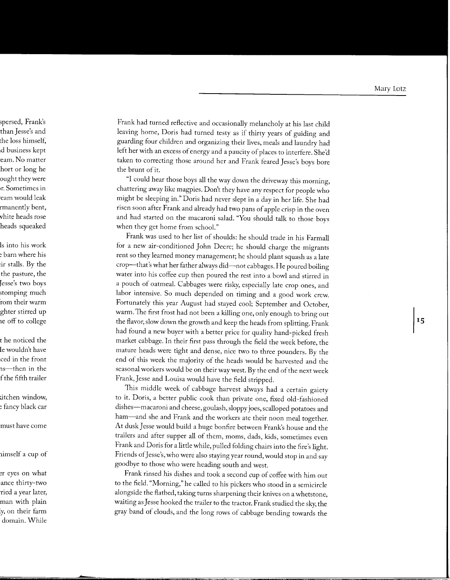Frank had turned reflective and occasionally melancholy at his last child leaving home, Doris had turned testy as if thirty years of guiding and guarding four children and organizing their lives, meals and laundry had left her with an excess of energy and a paucity of places to interfere. She'd taken to correcting those around her and Frank feared Jesse's boys bore the brunt of it.

"I could hear those boys all the way down the driveway this morning, chattering away like magpies. Don't they have any respect for people who might be sleeping in." Doris had never slept in a day in her life. She had risen soon after Frank and already had two pans of apple crisp in the oven and had started on the macaroni salad. "You should talk to those boys when they get home from school."

Frank was used to her list of shoulds: he should trade in his Farmall for a new air-conditioned John Deere; he should charge the migrants rent so they learned money management; he should plant squash as a late crop-that's what her father always did-not cabbages. He poured boiling water into his coffee cup then poured the rest into a bowl and stirred in a pouch of oatmeal. Cabbages were risky, especially late crop ones, and labor intensive. So much depended on timing and a good work crew. Fortunately this year August had stayed cool; September and October, warm.The first frost had not been a killing one, only enough to bring out the flavor, slow down the growth and keep the heads from splitting. Frank had found a new buyer with a better price for quality hand-picked fresh market cabbage. In their first pass through the field the week before, the mature heads were tight and dense, nice two to three pounders. By the end of this week the majority of the heads would be harvested and the seasonal workers would be on their way west. By the end of the next week Frank, Jesse and Louisa would have the field stripped.

This middle week of cabbage harvest always had a certain gaiety to it. Doris, a better public cook than private one, fixed old-fashioned dishes-macaroni and cheese, goulash, sloppy joes, scalloped potatoes and ham-and she and Frank and the workers ate their noon meal together. At dusk Jesse would build a huge bonfire between Frank's house and the trailers and after supper all of them, moms, dads, kids, sometimes even Frank and Doris for a little while, pulled folding chairs into the fire's light. Friends of Jesse's, who were also staying year round, would stop in and say goodbye to those who were heading south and west.

Frank rinsed his dishes and took a second cup of coffee with him out to the field. "Morning," he called to his pickers who stood in a semicircle alongside the flatbed, taking turns sharpening their knives on a whetstone, waiting as Jesse hooked the trailer to the tractor. Frank studied the sky, the gray band of clouds, and the long rows of cabbage bending towards the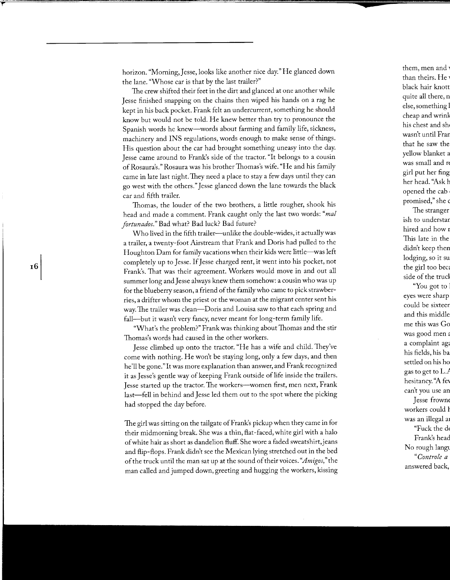horizon. "Morning, Jesse, looks like another nice day." He glanced down the lane. "Whose car is that by the last trailer?"

The crew shifted their feet in the dirt and glanced at one another while Jesse finished snapping on the chains then wiped his hands on a rag he kept in his back pocket. Frank felt an undercurrent, something he should know but would not be told. He knew better than try to pronounce the Spanish words he knew-words about farming and family life, sickness, machinery and INS regulations, words enough to make sense of things. His question about the car had brought something uneasy into the day. Jesse came around to Frank's side of the tractor. "It belongs to a cousin ofRosaura's." Rosaura was his brother Thomas's wife. "He and his family came in late last night. They need a place to stay a few days until they can go west with the others." Jesse glanced down the lane towards the black car and fifth trailer.

Thomas, the louder of the two brothers, a little rougher, shook his head and made a comment. Frank caught only the last two words: *"mal fortunados."* Bad what? Bad luck? Bad future?

Who lived in the fifth trailer—unlike the double-wides, it actually was a trailer, a twenty-foot Airstream that Frank and Doris had pulled to the Houghton Dam for family vacations when their kids were little—was left completely up to Jesse. If Jesse charged rent, it went into his pocket, not Frank's. That was their agreement. Workers would move in and out all summer long and Jesse always knew them somehow: a cousin who was up for the blueberry season, a friend of the family who came to pick strawberries, a drifter whom the priest or the woman at the migrant center sent his way. The trailer was clean—Doris and Louisa saw to that each spring and fall-but it wasn't very fancy, never meant for long-term family life.

"What's the problem?" Frank was thinking about Thomas and the stir Thomas's words had caused in the other workers.

Jesse climbed up onto the tractor. "He has a wife and child. They've come with nothing. He won't be staying long, only a few days, and then he'll be gone."It was more explanation than answer, and Frank recognized it as Jesse's gentle way of keeping Frank outside of life inside the trailers. Jesse started up the tractor. The workers-women first, men next, Frank last-fell in behind and Jesse led them out to the spot where the picking had stopped the day before.

The girl was sitting on the tailgate of Frank's pickup when they came in for their midmorning break. She was a thin, flat-faced, white girl with a halo of white hair as short as dandelion fluff. She wore a faded sweatshirt, jeans and flip-flops. Frank didn't see the Mexican lying stretched out in the bed of the truck until the man sat up at the sound of their voices. *"Amigos,"* the man called and jumped down, greeting and hugging the workers, kissing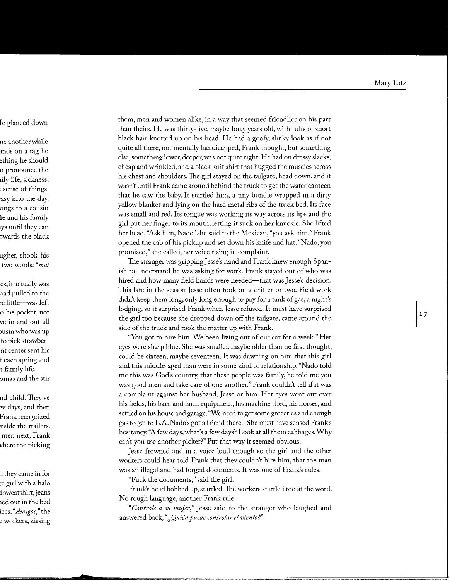them, men and women alike, in a way that seemed friendlier on his part than theirs. He was thirty-five, maybe forty years old, with tufts of short black hair knotted up on his head. He had a goofy, slinky look as if not quite all there, not mentally handicapped, Frank thought, but something else, something lower, deeper, was not quite right. He had on dressy slacks, cheap and wrinkled, and a black knit shirt that hugged the muscles across his chest and shoulders.The girl stayed on the tailgate, head down, and it wasn't until Frank came around behind the truck to get the water canteen that he saw the baby. It startled him, a tiny bundle wrapped in a dirty yellow blanket and lying on the hard metal ribs of the truck bed. Its face was small and red. Its tongue was working its way across its lips and the girl put her finger to its mouth, letting it suck on her knuckle. She lifted her head. "Ask him, Nado" she said to the Mexican, "you ask him." Frank opened the cab of his pickup and set down his knife and hat. "Nado, you promised," she called, her voice rising in complaint.

The stranger was gripping Jesse's hand and Frank knew enough Spanish to understand he was asking for work. Frank stayed out of who was hired and how many field hands were needed-that was Jesse's decision. This late in the season Jesse often took on a drifter or two. Field work didn't keep them long, only long enough to pay for a tank of gas, a night's lodging, so it surprised Frank when Jesse refused. It must have surprised the girl too because she dropped down off the tailgate, came around the side of the truck and took the matter up with Frank.

"You got to hire him. We been living out of our car for a week." Her eyes were sharp blue. She was smaller, maybe older than he first thought, could be sixteen, maybe seventeen. It was dawning on him that this girl and this middle-aged man were in some kind of relationship. "Nado told me this was God's country, that these people was family, he told me you was good men and take care of one another." Frank couldn't tell if it was a complaint against her husband, Jesse or him. Her eyes went out over his fields, his barn and farm equipment, his machine shed, his horses, and settled on his house and garage. "We need to get some groceries and enough gas to get to L.A. Nado's got a friend there." She must have sensed Frank's hesitancy. "A few days, what's a few days? Look at all them cabbages. Why can't you use another picker?" Put that way it seemed obvious.

Jesse frowned and in a voice loud enough so the girl and the other workers could hear told Frank that they couldn't hire him, that the man was an illegal and had forged documents. It was one of Frank's rules.

"Fuck the documents," said the girl.

Frank's head bobbed up, startled. The workers startled too at the word. No rough language, another Frank rule.

*"Controle a su mujer,"* Jesse said to the stranger who laughed and answered back, *"J,Quiin puede controlar el viento?"*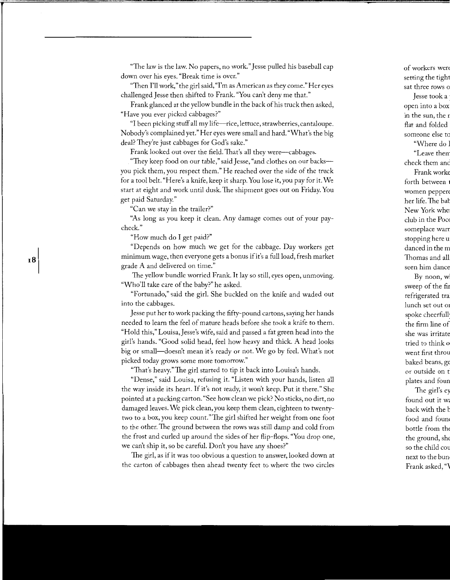"The law is the law. No papers, no work." Jesse pulled his baseball cap down over his eyes. "Break time is over."

"Then I'll work," the girl said, "I'm as American as they come." Her eyes challenged Jesse then shifted to Frank. "You can't deny me that."

Frank glanced at the yellow bundle in the back of his truck then asked, "Have you ever picked cabbages?"

"I been picking stuff all my life-rice, lettuce, strawberries, cantaloupe. Nobody's complained yet." Her eyes were small and hard. "What's the big deal? They're just cabbages for God's sake."

Frank looked out over the field. That's all they were—cabbages.

"They keep food on our table," said Jesse, "and clothes on our backsyou pick them, you respect them." He reached over the side of the truck for a tool belt. "Here's a knife, keep it sharp. You lose it, you pay for it. We start at eight and work until dusk. The shipment goes out on Friday. You get paid Saturday."

"Can we stay in the trailer?"

"As long as you keep it clean. Any damage comes out of your paycheck."

"How much do I get paid?"

"Depends on how much we get for the cabbage. Day workers get minimum wage, then everyone gets a bonus if it's a full load, fresh market grade A and delivered on time."

The yellow bundle worried Frank. It lay so still, eyes open, unmoving. "Who'll take care of the baby?" he asked.

"Fortunado," said the girl. She buckled on the knife and waded out into the cabbages.

Jesse put her to work packing the fifty-pound cartons, saying her hands needed to learn the feel of mature heads before she took a knife to them. "Hold this," Louisa,] esse's wife, said and passed a fat green head into the girl's hands. "Good solid head, feel how heavy and thick. A head looks big or small—doesn't mean it's ready or not. We go by feel. What's not picked today grows some more tomorrow."

"That's heavy." The girl started to tip it back into Louisa's hands.

"Dense," said Louisa, refusing it. "Listen with your hands, listen all the way inside its heart. If it's not ready, it won't keep. Put it there." She pointed at a packing carton. "See how clean we pick? No sticks, no dirt, no damaged leaves. We pick clean, you keep them clean, eighteen to twentytwo to a box, you keep count."The girl shifted her weight from one foot to the other. The ground between the rows was still damp and cold from the frost and curled up around the sides of her flip-flops. "You drop one, we can't ship it, so be careful. Don't you have any shoes?"

The girl, as if it was too obvious a question to answer, looked down at the carton of cabbages then ahead twenty feet to where the two circles

18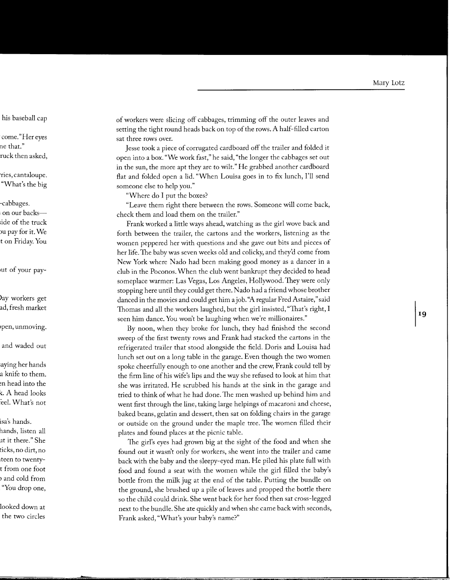of workers were slicing off cabbages, trimming off the outer leaves and setting the tight round heads back on top of the rows. A half-filled carton sat three rows over.

Jesse took a piece of corrugated cardboard off the trailer and folded it open into a box. "We work fast," he said, "the longer the cabbages set out in the sun, the more apt they are to wilt." He grabbed another cardboard flat and folded open a lid. "When Louisa goes in to fix lunch, I'll send someone else to help you."

"Where do I put the boxes?

"Leave them right there between the rows. Someone will come back, check them and load them on the trailer."

Frank worked a little ways ahead, watching as the girl wove back and forth between the trailer, the cartons and the workers, listening as the women peppered her with questions and she gave out bits and pieces of her life. The baby was seven weeks old and colicky, and they'd come from New York where Nado had been making good money as a dancer in a club in the Poconos. When the club went bankrupt they decided to head someplace warmer: Las Vegas, Los Angeles, Hollywood. They were only stopping here until they could get there. Nado had a friend whose brother danced in the movies and could get him a job. "A regular Fred Astaire," said Thomas and all the workers laughed, but the girl insisted, "That's right, I seen him dance. You won't be laughing when we're millionaires."

By noon, when they broke for lunch, they had finished the second sweep of the first twenty rows and Frank had stacked the cartons in the refrigerated trailer that stood alongside the field. Doris and Louisa had lunch set out on a long table in the garage. Even though the two women spoke cheerfully enough to one another and the crew, Frank could tell by the firm line of his wife's lips and the way she refused to look at him that she was irritated. He scrubbed his hands at the sink in the garage and tried to think of what he had done.The men washed up behind him and went first through the line, taking large helpings of macaroni and cheese, baked beans, gelatin and dessert, then sat on folding chairs in the garage or outside on the ground under the maple tree. The women filled their plates and found places at the picnic table.

The girl's eyes had grown big at the sight of the food and when she found out it wasn't only for workers, she went into the trailer and came back with the baby and the sleepy-eyed man. He piled his plate full with food and found a seat with the women while the girl filled the baby's bottle from the milk jug at the end of the table. Putting the bundle on the ground, she brushed up a pile of leaves and propped the bottle there so the child could drink. She went back for her food then sat cross-legged next to the bundle. She ate quickly and when she came back with seconds, Frank asked, "What's your baby's name?"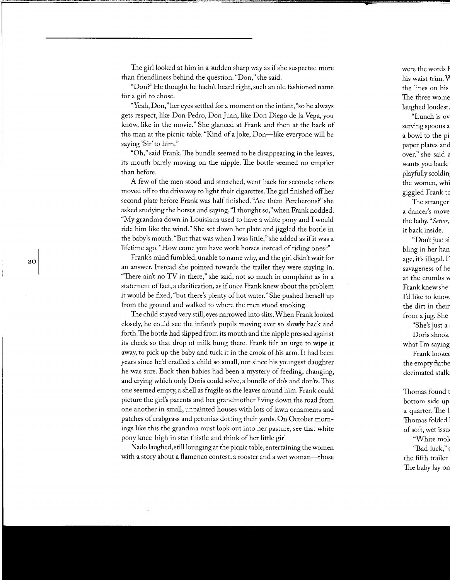The girl looked at him in a sudden sharp way as if she suspected more than friendliness behind the question. "Don," she said.

"Don?" He thought he hadn't heard right, such an old fashioned name for a girl to chose.

"Yeah, Don," her eyes settled for a moment on the infant, "so he always gets respect, like Don Pedro, Don Juan, like Don Diego de la Vega, you know, like in the movie." She glanced at Frank and then at the back of the man at the picnic table. "Kind of a joke, Don-like everyone will be saying 'Sir' to him."

"Oh," said Frank. The bundle seemed to be disappearing in the leaves, its mouth barely moving on the nipple. The bottle seemed no emptier than before.

A few of the men stood and stretched, went back for seconds; others moved off to the driveway to light their cigarettes. The girl finished off her second plate before Frank was half finished. "Are them Percherons?" she asked studying the horses and saying, "I thought so," when Frank nodded. "My grandma down in Louisiana used to have a white pony and I would ride him like the wind." She set down her plate and jiggled the bottle in the baby's mouth. "But that was when I was little," she added as if it was a lifetime ago. "How come you have work horses instead of riding ones?"

Frank's mind fumbled, unable to name why, and the girl didn't wait for an answer. Instead she pointed towards the trailer they were staying in. "There ain't no TV in there," she said, not so much in complaint as in a statement of fact, a clarification, as if once Frank knew about the problem it would be fixed, "but there's plenty of hot water." She pushed herself up from the ground and walked to where the men stood smoking.

The child stayed very still, eyes narrowed into slits. When Frank looked closely, he could see the infant's pupils moving ever so slowly back and forth. The bottle had slipped from its mouth and the nipple pressed against its cheek so that drop of milk hung there. Frank felt an urge to wipe it away, to pick up the baby and tuck it in the crook of his arm. It had been years since he'd cradled a child so small, not since his youngest daughter he was sure. Back then babies had been a mystery of feeding, changing, and crying which only Doris could solve, a bundle of do's and don'ts. This one seemed empty, a shell as fragile as the leaves around him. Frank could picture the girl's parents and her grandmother living down the road from one another in small, unpainted houses with lots of lawn ornaments and patches of crabgrass and petunias dotting their yards. On October mornings like this the grandma must look out into her pasture, see that white pony knee-high in star thistle and think of her little girl.

Nado laughed, still lounging at the picnic table, entertaining the women with a story about a flamenco contest, a rooster and a wet woman-those

20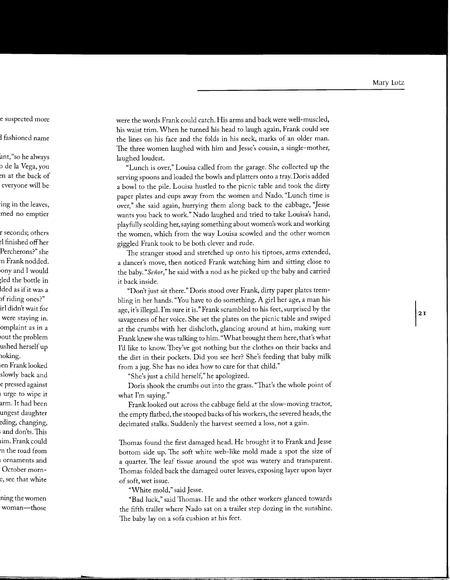were the words Frank could catch. His arms and back were well-muscled, his waist trim. When he turned his head to laugh again, Frank could see the lines on his face and the folds in his neck, marks of an older man. The three women laughed with him and Jesse's cousin, a single-mother, laughed loudest.

"Lunch is over," Louisa called from the garage. She collected up the serving spoons and loaded the bowls and platters onto a tray. Doris added a bowl to the pile. Louisa hustled to the picnic table and took the dirty paper plates and cups away from the women and Nado. "Lunch time is over," she said again, hurrying them along back to the cabbage, "Jesse wants you back to work." Nado laughed and tried to take Louisa's hand, playfully scolding her, saying something about women's work and working the women, which from the way Louisa scowled and the other women giggled Frank took to be both clever and rude.

The stranger stood and stretched up onto his tiptoes, arms extended, a dancer's move, then noticed Frank watching him and sitting close to the baby." *Senor,"* he said with a nod as he picked up the baby and carried it back inside.

"Don't just sit there." Doris stood over Frank, dirty paper plates trembling in her hands. "You have to do something. A girl her age, a man his age, it's illegal. I'm sure it is." Frank scrambled to his feet, surprised by the savageness of her voice. She set the plates on the picnic table and swiped at the crumbs with her dishcloth, glancing around at him, making sure Frank knew she was talking to him. "What brought them here, that's what I'd like to know. They've got nothing but the clothes on their backs and the dirt in their pockets. Did you see her? She's feeding that baby milk from a jug. She has no idea how to care for that child."

"She's just a child herself," he apologized.

Doris shook the crumbs out into the grass. "That's the whole point of what I'm saying."

Frank looked out across the cabbage field at the slow-moving tractor, the empty flatbed, the stooped backs of his workers, the severed heads, the decimated stalks. Suddenly the harvest seemed a loss, not a gain.

Thomas found the first damaged head. He brought it to Frank and Jesse bottom side up. The soft white web-like mold made a spot the size of a quarter. The leaf tissue around the spot was watery and transparent. Thomas folded back the damaged outer leaves, exposing layer upon layer of soft, wet issue.

"White mold," said Jesse.

"Bad luck," said Thomas. He and the other workers glanced towards the fifth trailer where Nado sat on a trailer step dozing in the sunshine. The baby lay on a sofa cushion at his feet.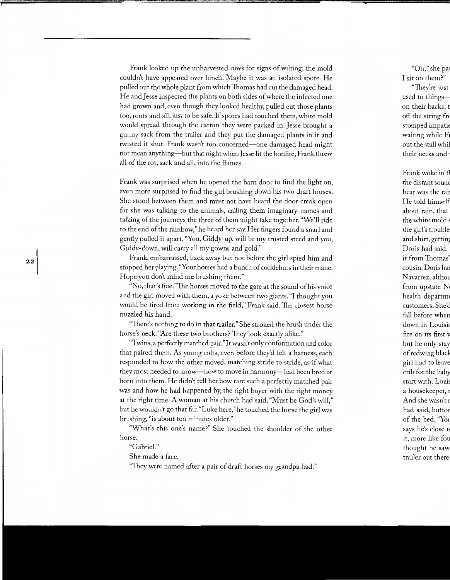Frank looked up the unharvested rows for signs of wilting; the mold couldn't have appeared over lunch. Maybe it was an isolated spore. He pulled out the whole plant from which Thomas had cut the damaged head. He and Jesse inspected the plants on both sides of where the infected one had grown and, even though they looked healthy, pulled out those plants too, roots and all, just to be safe. If spores had touched them, white mold would spread through the carton they were packed in. Jesse brought a gunny sack from the trailer and they put the damaged plants in it and twisted it shut. Frank wasn't too concerned—one damaged head might not mean anything--but that night when Jesse lit the bonfire, Frank threw all of the rot, sack and all, into the flames.

Frank was surprised when he opened the barn door to find the light on, even more surprised to find the girl brushing down his two draft horses. She stood between them and must not have heard the door creak open for she was talking to the animals, calling them imaginary names and talking of the journeys the three of them might take together. "We'll ride to the end of the rainbow," he heard her say. Her fingers found a snarl and gently pulled it apart. "You, Giddy-up, will be my trusted steed and you, Giddy-down, will carry all my gowns and gold."

Frank, embarrassed, back away but not before the girl spied him and stopped her playing. "Your horses had a bunch of cockleburs in their mane. Hope you don't mind me brushing them."

"No, that's fine." The horses moved to the gate at the sound of his voice and the girl moved with them, a yoke between two giants. "I thought you would be tired from working in the field," Frank said. The closest horse nuzzled his hand.

"There's nothing to do in that trailer." She stroked the brush under the horse's neck. "Are these two brothers? They look exactly alike."

"Twins, a perfectly matched pair." It wasn't only conformation and color that paired them. As young colts, even before they'd felt a harness, each responded to how the other moved, matching stride to stride, as if what they most needed to know-how to move in harmony-had been bred or born into them. He didn't tell her how rare such a perfectly matched pair was and how he had happened by, the right buyer with the right money at the right time. A woman at his church had said, "Must be God's will," but he wouldn't go that far. "Luke here," he touched the horse the girl was brushing, "is about ten minutes older."

"What's this one's name?" She touched the shoulder of the other horse.

"Gabriel."

She made a face.

"They were named after a pair of draft horses my grandpa had."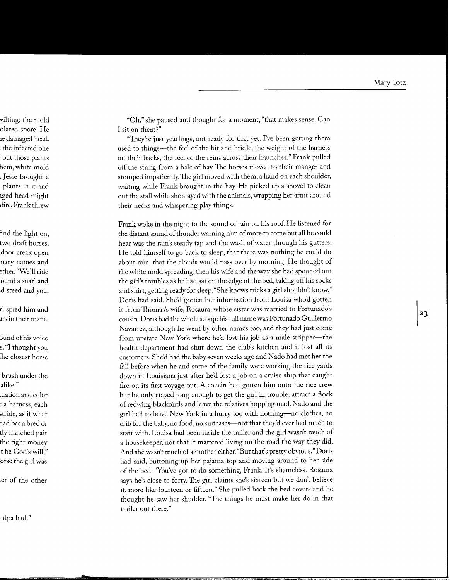"Oh," she paused and thought for a moment, "that makes sense. Can I sit on them?"

"They're just yearlings, not ready for that yet. I've been getting them used to things—the feel of the bit and bridle, the weight of the harness on their backs, the feel of the reins across their haunches." Frank pulled off the string from a bale of hay. The horses moved to their manger and stomped impatiently. The girl moved with them, a hand on each shoulder, waiting while Frank brought in the hay. He picked up a shovel to clean out the stall while she stayed with the animals, wrapping her arms around their necks and whispering play things.

Frank woke in the night to the sound of rain on his roof. He listened for the distant sound of thunder warning him of more to come but all he could hear was the rain's steady tap and the wash of water through his gutters. He told himself to go back to sleep, that there was nothing he could do about rain, that the clouds would pass over by morning. He thought of the white mold spreading, then his wife and the way she had spooned out the girl's troubles as he had sat on the edge of the bed, taking off his socks and shirt, getting ready for sleep. "She knows tricks a girl shouldn't know," Doris had said. She'd gotten her information from Louisa who'd gotten it from Thomas's wife, Rosaura, whose sister was married to Fortunado's cousin. Doris had the whole scoop: his full name was Fortunado Guillermo Navarrez, although he went by other names too, and they had just come from upstate New York where he'd lost his job as a male stripper--the health department had shut down the club's kitchen and it lost all its customers. She'd had the baby seven weeks ago and Nado had met her the fall before when he and some of the family were working the rice yards down in Louisiana just after he'd lost a job on a cruise ship that caught fire on its first voyage out. A cousin had gotten him onto the rice crew but he only stayed long enough to get the girl in trouble, attract a flock of redwing blackbirds and leave the relatives hopping mad. Nado and the girl had to leave New York in a hurry too with nothing-no clothes, no crib for the baby, no food, no suitcases-not that they'd ever had much to start with. Louisa had been inside the trailer and the girl wasn't much of a housekeeper, not that it mattered living on the road the way they did. And she wasn't much of a mother either. "But that's pretty obvious," Doris had said, buttoning up her pajama top and moving around to her side of the bed. "You've got to do something, Frank. It's shameless. Rosaura says he's close to forty. The girl claims she's sixteen but we don't believe it, more like fourteen or fifteen." She pulled back the bed covers and he thought he saw her shudder. "The things he must make her do in that trailer out there."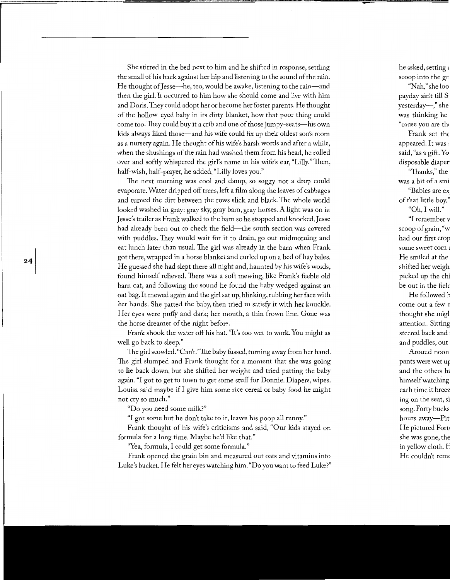She stirred in the bed next to him and he shifted in response, settling the small of his back against her hip and listening to the sound of the rain. He thought of Jesse-he, too, would be awake, listening to the rain-and then the girl. It occurred to him how she should come and live with him and Doris. They could adopt her or become her foster parents. He thought of the hollow-eyed baby in its dirty blanket, how that poor thing could come too. They could buy it a crib and one of those jumpy-seats-his own kids always liked those—and his wife could fix up their oldest son's room as a nursery again. He thought of his wife's harsh words and after a while, when the shushings of the rain had washed them from his head, he rolled over and softly whispered the girl's name in his wife's ear, "Lilly." Then, half-wish, half-prayer, he added, "Lilly loves you."

The next morning was cool and damp, so soggy not a drop could evaporate. Water dripped off trees, left a film along the leaves of cabbages and turned the dirt between the rows slick and black. The whole world looked washed in gray: gray sky, gray barn, gray horses. A light was on in Jesse's trailer as Frank walked to the barn so he stopped and knocked.Jesse had already been out to check the field-the south section was covered with puddles. They would wait for it to drain, go out midmorning and eat lunch later than usual. The girl was already in the barn when Frank got there, wrapped in a horse blanket and curled up on a bed of hay bales. He guessed she had slept there all night and, haunted by his wife's words, found himself relieved. There was a soft mewing, like Frank's feeble old barn cat, and following the sound he found the baby wedged against an oat bag. It mewed again and the girl sat up, blinking, rubbing her face with her hands. She patted the baby, then tried to satisfy it with her knuckle. Her eyes were puffy and dark; her mouth, a thin frown line. Gone was the horse dreamer of the night before.

Frank shook the water off his hat. "It's too wet to work. You might as well go back to sleep."

The girl scowled. "Can't. "The baby fussed, turning away from her hand. The girl slumped and Frank thought for a moment that she was going to lie back down, but she shifted her weight and tried patting the baby again. "I got to get to town to get some stuff for Donnie. Diapers, wipes. Louisa said maybe ifl give him some rice cereal or baby food he might not cry so much."

"Do you need some milk?"

24

"I got some but he don't take to it, leaves his poop all runny."

Frank thought of his wife's criticisms and said, "Our kids stayed on formula for a long time. Maybe he'd like that."

"Yea, formula, I could get some formula."

Frank opened the grain bin and measured out oats and vitamins into Luke's bucket. He felt her eyes watching him. "Do you want to feed Luke?"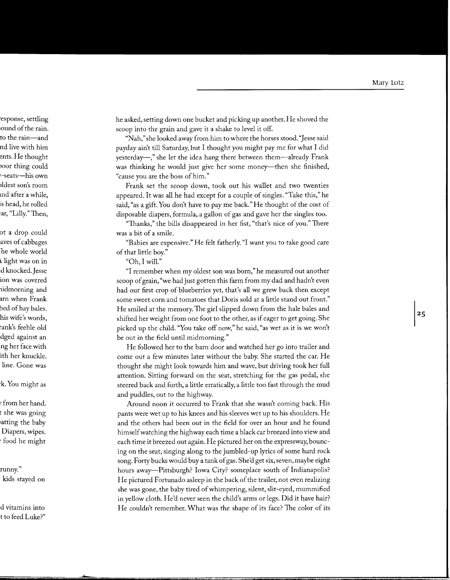he asked, setting down one bucket and picking up another. He shoved the scoop into the grain and gave it a shake to level it off.

"Nah," she looked away from him to where the horses stood. "Jesse said payday ain't till Saturday, but I thought you might pay me for what I did yesterday-," she let the idea hang there between them-already Frank was thinking he would just give her some money—then she finished, "cause you are the boss of him."

Frank set the scoop down, took out his wallet and two twenties appeared. It was all he had except for a couple of singles. "Take this," he said, "as a gift. You don't have to pay me back." He thought of the cost of disposable diapers, formula, a gallon of gas and gave her the singles too.

"Thanks," the bills disappeared in her fist, "that's nice of you." There was a bit of a smile.

"Babies are expensive." He felt fatherly. "I want you to take good care of that little boy."

"Oh, I will."

"I remember when my oldest son was born," he measured out another scoop of grain, "we had just gotten this farm from my dad and hadn't even had our first crop of blueberries yet, that's all we grew back then except some sweet corn and tomatoes that Doris sold at a little stand out front." He smiled at the memory. The girl slipped down from the hale bales and shifted her weight from one foot to the other, as if eager to get going. She picked up the child. "You take off now," he said, "as wet as it is we won't be out in the field until midmorning."

He followed her to the barn door and watched her go into trailer and come out a few minutes later without the baby. She started the car. He thought she might look towards him and wave, but driving took her full attention. Sitting forward on the seat, stretching for the gas pedal, she steered back and forth, a little erratically, a little too fast through the mud and puddles, out to the highway.

Around noon it occurred to Frank that she wasn't coming back. His pants were wet up to his knees and his sleeves wet up to his shoulders. He and the others had been out in the field for over an hour and he found himself watching the highway each time a black car breezed into view and each time it breezed out again. He pictured her on the expressway, bouncing on the seat, singing along to the jumbled-up lyrics of some hard rock song. Forty bucks would buy a tank of gas. She'd get six, seven, maybe eight hours away—Pittsburgh? Iowa City? someplace south of Indianapolis? He pictured Fortunado asleep in the back of the trailer, not even realizing she was gone, the baby tired of whimpering, silent, slit-eyed, mummified in yellow cloth. He'd never seen the child's arms or legs. Did it have hair? He couldn't remember. What was the shape of its face? The color of its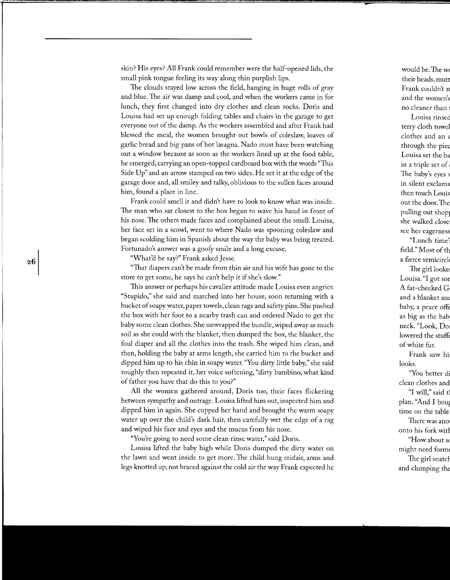skin? His eyes? All Frank could remember were the half-opened lids, the small pink tongue feeling its way along thin purplish lips.

The clouds stayed low across the field, hanging in huge rolls of gray and blue. The air was damp and cool, and when the workers came in for lunch, they first changed into dry clothes and clean socks. Doris and Louisa had set up enough folding tables and chairs in the garage to get everyone out of the damp. As the workers assembled and after Frank had blessed the meal, the women brought out bowls of coleslaw, loaves of garlic bread and big pans of hot lasagna. Nado must have been watching out a window because as soon as the workers lined up at the food table, he emerged, carrying an open-topped cardboard box with the words "This Side Up" and an arrow stamped on two sides. He set it at the edge of the garage door and, all smiley and talky, oblivious to the sullen faces around him, found a place in line.

Frank could smell it and didn't have to look to know what was inside. The man who sat closest to the box began to wave his hand in front of his nose. The others made faces and complained about the smell. Louisa, her face set in a scowl, went to where Nado was spooning coleslaw and began scolding him in Spanish about the way the baby was being treated. Fortunado's answer was a goofy smile and a long excuse.

"What'd he say?" Frank asked Jesse.

"That diapers can't be made from thin air and his wife has gone to the store to get some, he says he can't help it if she's slow."

This answer or perhaps his cavalier attitude made Louisa even angrier. "Stupido," she said and marched into her house, soon returning with a bucket of soapy water, paper towels, clean rags and safety pins. She pushed the box with her foot to a nearby trash can and ordered Nado to get the baby some clean clothes. She unwrapped the bundle, wiped away as much soil as she could with the blanket, then dumped the box, the blanket, the foul diaper and all the clothes into the trash. She wiped him clean, and then, holding the baby at arms length, she carried him to the bucket and dipped him up to his chin in soapy water. "You dirty little baby," she said roughly then repeated it, her voice softening, "dirty bambino, what kind of father you have that do this to you?"

All the women gathered around, Doris too, their faces flickering between sympathy and outrage. Louisa lifted him out, inspected him and dipped him in again. She cupped her hand and brought the warm soapy water up over the child's dark hair, then carefully wet the edge of a rag and wiped his face and eyes and the mucus from his nose.

"You're going to need some clean rinse water," said Doris.

Louisa lifted the baby high while Doris dumped the dirty water on the lawn and went inside to get more. The child hung midair, arms and legs knotted up, not braced against the cold air the way Frank expected he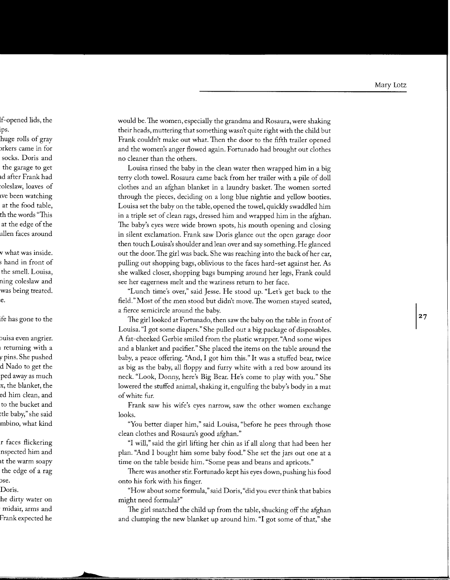would be. The women, especially the grandma and Rosaura, were shaking their heads, muttering that something wasn't quite right with the child but Frank couldn't make out what. Then the door to the fifth trailer opened and the women's anger flowed again. Fortunado had brought out clothes no cleaner than the others.

Louisa rinsed the baby in the clean water then wrapped him in a big terry cloth towel. Rosaura came back from her trailer with a pile of doll clothes and an afghan blanket in a laundry basket. The women sorted through the pieces, deciding on a long blue nightie and yellow booties. Louisa set the baby on the table, opened the towel, quickly swaddled him in a triple set of clean rags, dressed him and wrapped him in the afghan. The baby's eyes were wide brown spots, his mouth opening and closing in silent exclamation. Frank saw Doris glance out the open garage door then touch Louisa's shoulder and lean over and say something. He glanced out the door. The girl was back. She was reaching into the back of her car, pulling out shopping bags, oblivious to the faces hard-set against her. As she walked closer, shopping bags bumping around her legs, Frank could see her eagerness melt and the wariness return to her face.

"Lunch time's over," said Jesse. He stood up. "Let's get back to the field." Most of the men stood but didn't move. The women stayed seated, a fierce semicircle around the baby.

The girl looked at Fortunado, then saw the baby on the table in front of Louisa. "I got some diapers." She pulled out a big package of disposables. A fat-cheeked Gerbie smiled from the plastic wrapper. "And some wipes and a blanket and pacifier." She placed the items on the table around the baby, a peace offering. "And, I got him this." It was a stuffed bear, twice as big as the baby, all floppy and furry white with a red bow around its neck. "Look, Donny, here's Big Bear. He's come to play with you." She lowered the stuffed animal, shaking it, engulfing the baby's body in a mat of white fur.

Frank saw his wife's eyes narrow, saw the other women exchange looks.

"You better diaper him," said Louisa, "before he pees through those clean clothes and Rosaura's good afghan."

"I will," said the girl lifting her chin as if all along that had been her plan. "And I bought him some baby food." She set the jars out one at a time on the table beside him. "Some peas and beans and apricots."

There was another stir. Fortunado kept his eyes down, pushing his food onto his fork with his finger.

"How about some formula," said Doris, "did you ever think that babies might need formula?"

The girl snatched the child up from the table, shucking off the afghan and clumping the new blanket up around him. "I got some of that," she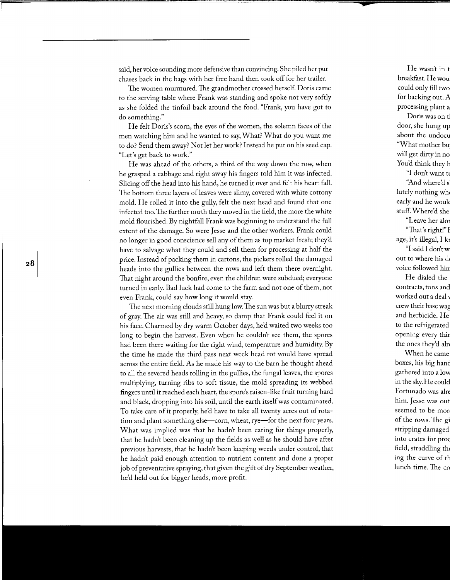said, her voice sounding more defensive than convincing. She piled her purchases back in the bags with her free hand then took off for her trailer.

The women murmured. The grandmother crossed herself. Doris came to the serving table where Frank was standing and spoke not very softly as she folded the tinfoil back around the food. "Frank, you have got to do something."

He felt Doris's scorn, the eyes of the women, the solemn faces of the men watching him and he wanted to say, What? What do you want me to do? Send them away? Not let her work? Instead he put on his seed cap. "Let's get back to work."

He was ahead of the others, a third of the way down the row, when he grasped a cabbage and right away his fingers told him it was infected. Slicing off the head into his hand, he turned it over and felt his heart fall. The bottom three layers of leaves were slimy, covered with white cottony mold. He rolled it into the gully, felt the next head and found that one infected too. The further north they moved in the field, the more the white mold flourished. By nightfall Frank was beginning to understand the full extent of the damage. So were Jesse and the other workers. Frank could no longer in good conscience sell any of them as top market fresh; they'd have to salvage what they could and sell them for processing at half the price. Instead of packing them in cartons, the pickers rolled the damaged heads into the gullies between the rows and left them there overnight. That night around the bonfire, even the children were subdued; everyone turned in early. Bad luck had come to the farm and not one of them, not even Frank, could say how long it would stay.

 ${\bf 28}$ 

The next morning clouds still hung low. The sun was but a blurry streak of gray. The air was still and heavy, so damp that Frank could feel it on his face. Charmed by dry warm October days, he'd waited two weeks too long to begin the harvest. Even when he couldn't see them, the spores had been there waiting for the right wind, temperature and humidity. By the time he made the third pass next week head rot would have spread across the entire field. As he made his way to the barn he thought ahead to all the severed heads rolling in the gullies, the fungal leaves, the spores multiplying, turning ribs to soft tissue, the mold spreading its webbed fingers until it reached each heart, the spore's raisen-like fruit turning hard and black, dropping into his soil, until the earth itself was contaminated. To take care of it properly, he'd have to take all twenty acres out of rotation and plant something else—corn, wheat, rye—for the next four years. What was implied was that he hadn't been caring for things properly, that he hadn't been cleaning up the fields as well as he should have after previous harvests, that he hadn't been keeping weeds under control, that he hadn't paid enough attention to nutrient content and done a proper job of preventative spraying, that given the gift of dry September weather, he'd held out for bigger heads, more profit.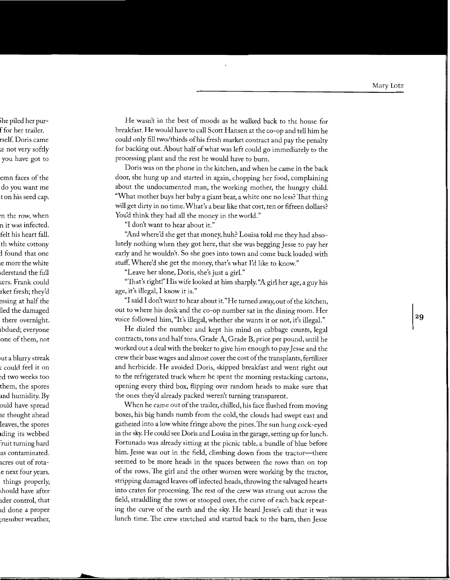He wasn't in the best of moods as he walked back to the house for breakfast. He would have to call Scott Hansen at the co-op and tell him he could only fill two/thirds of his fresh market contract and pay the penalty for backing out. About half of what was left could go immediately to the processing plant and the rest he would have to burn.

Doris was on the phone in the kitchen, and when he came in the back door, she hung up and started in again, chopping her food, complaining about the undocumented man, the working mother, the hungry child. "What mother buys her baby a giant bear, a white one no less? That thing will get dirty in no time. What's a bear like that cost, ten or fifteen dollars? You'd think they had all the money in the world."

"I don't want to hear about it."

"And where'd she get that money, huh? Louisa told me they had absolutely nothing when they got here, that she was begging Jesse to pay her early and he wouldn't. So she goes into town and come back loaded with stuff. Where'd she get the money, that's what I'd like to know."

"Leave her alone, Doris, she's just a girl."

"That's right!"His wife looked at him sharply. ''A girl her age, a guy his age, it's illegal, I know it is."

"I said I don't want to hear about it." He turned away, out of the kitchen, out to where his desk and the co-op number sat in the dining room. Her voice followed him, "It's illegal, whether she wants it or not, it's illegal."

He dialed the number and kept his mind on cabbage counts, legal contracts, tons and half tons, Grade A, Grade B, price per pound, until he worked out a deal with the broker to give him enough to pay Jesse and the crew their base wages and almost cover the cost of the transplants, fertilizer and herbicide. He avoided Doris, skipped breakfast and went right out to the refrigerated truck where he spent the morning restacking cartons, opening every third box, flipping over random heads to make sure that the ones they'd already packed weren't turning transparent.

When he came out of the trailer, chilled, his face flushed from moving boxes, his big hands numb from the cold, the clouds had swept east and gathered into a low white fringe above the pines.The sun hung cock-eyed in the sky. He could see Doris and Louisa in the garage, setting up for lunch. Fortunado was already sitting at the picnic table, a bundle of blue before him. Jesse was out in the field, climbing down from the tractor—there seemed to be more heads in the spaces between the rows than on top of the rows. The girl and the other women were working by the tractor, stripping damaged leaves off infected heads, throwing the salvaged hearts into crates for processing. The rest of the crew was strung out across the field, straddling the rows or stooped over, the curve of each back repeating the curve of the earth and the sky. He heard Jesse's call that it was lunch time. The crew stretched and started back to the barn, then Jesse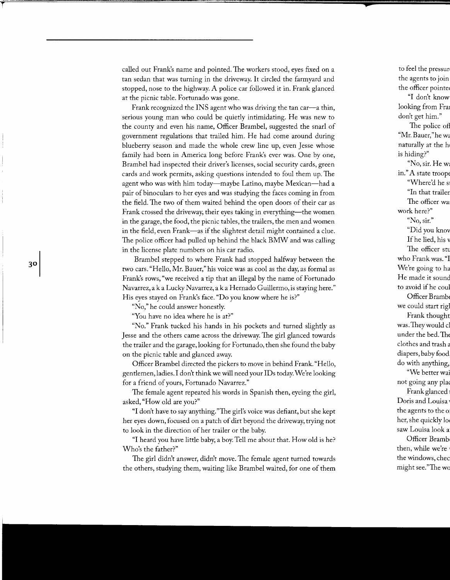called out Frank's name and pointed. The workers stood, eyes fixed on a tan sedan that was turning in the driveway. It circled the farmyard and stopped, nose to the highway. A police car followed it in. Frank glanced at the picnic table. Fortunado was gone.

Frank recognized the INS agent who was driving the tan car-a thin, serious young man who could be quietly intimidating. He was new to the county and even his name, Officer Brambel, suggested the snarl of government regulations that trailed him. He had come around during blueberry season and made the whole crew line up, even Jesse whose family had been in America long before Frank's ever was. One by one, Brambel had inspected their driver's licenses, social security cards, green cards and work permits, asking questions intended to foul them up. The agent who was with him today—maybe Latino, maybe Mexican—had a pair of binoculars to her eyes and was studying the faces coming in from the field. The two of them waited behind the open doors of their car as Frank crossed the driveway, their eyes taking in everything—the women in the garage, the food, the picnic tables, the trailers, the men and women in the field, even Frank-as if the slightest detail might contained a clue. The police officer had pulled up behind the black BMW and was calling in the license plate numbers on his car radio.

Brambel stepped to where Frank had stopped halfway between the two cars. "Hello, Mr. Bauer," his voice was as cool as the day, as formal as Frank's rows, "we received a tip that an illegal by the name of Fortunado Navarrez, aka Lucky Navarrez, aka Hernado Guillermo, is staying here." His eyes stayed on Frank's face. "Do you know where he is?"

"No," he could answer honestly.

"You have no idea where he is at?"

"No." Frank tucked his hands in his pockets and turned slightly as Jesse and the others came across the driveway. The girl glanced towards the trailer and the garage, looking for Fortunado, then she found the baby on the picnic table and glanced away.

Officer Brambel directed the pickers to move in behind Frank. "Hello, gentlemen, ladies. I don't think we will need your IDs today. We're looking for a friend of yours, Fortunado Navarrez."

The female agent repeated his words in Spanish then, eyeing the girl, asked, "How old are you?"

"I don't have to say anything."The girl's voice was defiant, but she kept her eyes down, focused on a patch of dirt beyond the driveway, trying not to look in the direction of her trailer or the baby.

"I heard you have little baby, a boy. Tell me about that. How old is he? Who's the father?"

The girl didn't answer, didn't move. The female agent turned towards the others, studying them, waiting like Brambel waited, for one of them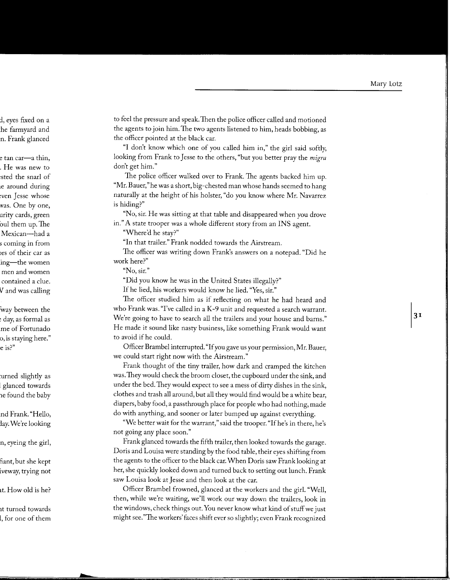to feel the pressure and speak. Then the police officer called and motioned the agents to join him. The two agents listened to him, heads bobbing, as the officer pointed at the black car.

"I don't know which one of you called him in," the girl said softly, looking from Frank to Jesse to the others, "but you better pray the *migra*  don't get him."

The police officer walked over to Frank. The agents backed him up. "Mr. Bauer,"he was a short, big-chested man whose hands seemed to hang naturally at the height of his holster, "do you know where Mr. Navarrez is hiding?"

"No, sir. He was sitting at that table and disappeared when you drove in." A state trooper was a whole different story from an INS agent.

"Where'd he stay?"

"In that trailer." Frank nodded towards the Airstream.

The officer was writing down Frank's answers on a notepad. "Did he work here?"

**"No, sir."** 

"Did you know he was in the United States illegally?"

If he lied, his workers would know he lied. "Yes, sir."

The officer studied him as if reflecting on what he had heard and who Frank was. "I've called in a K-9 unit and requested a search warrant. We're going to have to search all the trailers and your house and barns." He made it sound like nasty business, like something Frank would want to avoid if he could.

Officer Brambel interrupted. "If you gave us your permission, Mr. Bauer, we could start right now with the Airstream."

Frank thought of the tiny trailer, how dark and cramped the kitchen was.Theywould check the broom closet, the cupboard under the sink, and under the bed. They would expect to see a mess of dirty dishes in the sink, clothes and trash all around, but all they would find would be a white bear, diapers, baby food, a pass through place for people who had nothing, made do with anything, and sooner or later bumped up against everything.

"We better wait for the warrant," said the trooper. "If he's in there, he's not going any place soon."

Frank glanced towards the fifth trailer, then looked towards the garage. Doris and Louisa were standing by the food table, their eyes shifting from the agents to the officer to the black car. When Doris saw Frank looking at her, she quickly looked down and turned back to setting out lunch. Frank saw Louisa look at Jesse and then look at the car.

Officer Brambel frowned, glanced at the workers and the girl. "Well, then, while we're waiting, we'll work our way down the trailers, look in the windows, check things out. You never know what kind of stuff we just might see."The workers' faces shift ever so slightly; even Frank recognized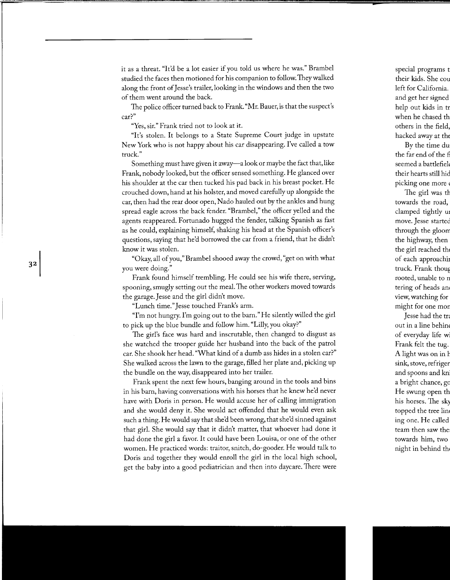it as a threat. "It'd be a lot easier if you told us where he was." Brambel studied the faces then motioned for his companion to follow. They walked along the front of Jesse's trailer, looking in the windows and then the two of them went around the back.

The police officer turned back to Frank. "Mr. Bauer, is that the suspect's car?"

"Yes, sir." Frank tried not to look at it.

"It's stolen. It belongs to a State Supreme Court judge in upstate New York who is not happy about his car disappearing. I've called a tow truck."

Something must have given it away—a look or maybe the fact that, like Frank, nobody looked, but the officer sensed something. He glanced over his shoulder at the car then tucked his pad back in his breast pocket. He crouched down, hand at his holster, and moved carefully up alongside the car, then had the rear door open, Nado hauled out by the ankles and hung spread eagle across the back fender. "Brambel," the officer yelled and the agents reappeared. Fortunado hugged the fender, talking Spanish as fast as he could, explaining himself, shaking his head at the Spanish officer's questions, saying that he'd borrowed the car from a friend, that he didn't know it was stolen.

"Okay, all of you," Brambel shooed away the crowd, "get on with what you were doing."

Frank found himself trembling. He could see his wife there, serving, spooning, smugly setting out the meal. The other workers moved towards the garage. Jesse and the girl didn't move.

"Lunch time." Jesse touched Frank's arm.

"I'm not hungry. I'm going out to the barn." He silently willed the girl to pick up the blue bundle and follow him. "Lilly, you okay?"

The girl's face was hard and inscrutable, then changed to disgust as she watched the trooper guide her husband into the back of the patrol car. She shook her head. "What kind of a dumb ass hides in a stolen car?" She walked across the lawn to the garage, filled her plate and, picking up the bundle on the way, disappeared into her trailer.

Frank spent the next few hours, banging around in the tools and bins in his barn, having conversations with his horses that he knew he'd never have with Doris in person. He would accuse her of calling immigration and she would deny it. She would act offended that he would even ask such a thing. He would say that she'd been wrong, that she'd sinned against that girl. She would say that it didn't matter, that whoever had done it had done the girl a favor. It could have been Louisa, or one of the other women. He practiced words: traitor, snitch, do-gooder. He would talk to Doris and together they would enroll the girl in the local high school, get the baby into a good pediatrician and then into daycare. There were

32